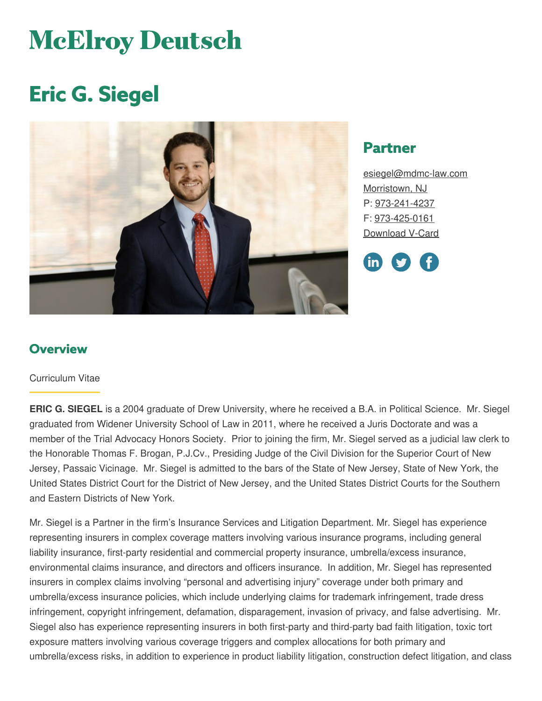# **McElroy Deutsch**

## **Eric G. Siegel**



### **Partner**

[esiegel@mdmc-law.com](mailto:esiegel@mdmc-law.com) [Morristown,](https://www.mdmc-law.com/offices/morristown) NJ P: [973-241-4237](tel:973-241-4237) F: [973-425-0161](tel:973-425-0161) [Download](https://www.mdmc-law.com/node/390/vcard) V-Card



#### **Overview**

#### Curriculum Vitae

**ERIC G. SIEGEL** is a 2004 graduate of Drew University, where he received a B.A. in Political Science. Mr. Siegel graduated from Widener University School of Law in 2011, where he received a Juris Doctorate and was a member of the Trial Advocacy Honors Society. Prior to joining the firm, Mr. Siegel served as a judicial law clerk to the Honorable Thomas F. Brogan, P.J.Cv., Presiding Judge of the Civil Division for the Superior Court of New Jersey, Passaic Vicinage. Mr. Siegel is admitted to the bars of the State of New Jersey, State of New York, the United States District Court for the District of New Jersey, and the United States District Courts for the Southern and Eastern Districts of New York.

Mr. Siegel is a Partner in the firm's Insurance Services and Litigation Department. Mr. Siegel has experience representing insurers in complex coverage matters involving various insurance programs, including general liability insurance, first-party residential and commercial property insurance, umbrella/excess insurance, environmental claims insurance, and directors and officers insurance. In addition, Mr. Siegel has represented insurers in complex claims involving "personal and advertising injury" coverage under both primary and umbrella/excess insurance policies, which include underlying claims for trademark infringement, trade dress infringement, copyright infringement, defamation, disparagement, invasion of privacy, and false advertising. Mr. Siegel also has experience representing insurers in both first-party and third-party bad faith litigation, toxic tort exposure matters involving various coverage triggers and complex allocations for both primary and umbrella/excess risks, in addition to experience in product liability litigation, construction defect litigation, and class